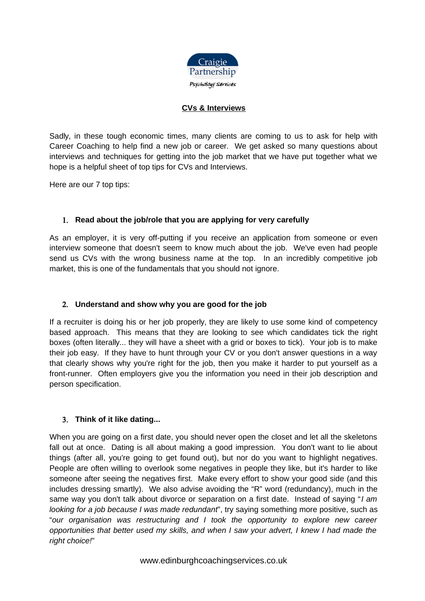

#### **CVs & Interviews**

Sadly, in these tough economic times, many clients are coming to us to ask for help with Career Coaching to help find a new job or career. We get asked so many questions about interviews and techniques for getting into the job market that we have put together what we hope is a helpful sheet of top tips for CVs and Interviews.

Here are our 7 top tips:

#### 1. **Read about the job/role that you are applying for very carefully**

As an employer, it is very off-putting if you receive an application from someone or even interview someone that doesn't seem to know much about the job. We've even had people send us CVs with the wrong business name at the top. In an incredibly competitive job market, this is one of the fundamentals that you should not ignore.

#### 2. **Understand and show why you are good for the job**

If a recruiter is doing his or her job properly, they are likely to use some kind of competency based approach. This means that they are looking to see which candidates tick the right boxes (often literally... they will have a sheet with a grid or boxes to tick). Your job is to make their job easy. If they have to hunt through your CV or you don't answer questions in a way that clearly shows why you're right for the job, then you make it harder to put yourself as a front-runner. Often employers give you the information you need in their job description and person specification.

#### 3. **Think of it like dating...**

When you are going on a first date, you should never open the closet and let all the skeletons fall out at once. Dating is all about making a good impression. You don't want to lie about things (after all, you're going to get found out), but nor do you want to highlight negatives. People are often willing to overlook some negatives in people they like, but it's harder to like someone after seeing the negatives first. Make every effort to show your good side (and this includes dressing smartly). We also advise avoiding the "R" word (redundancy), much in the same way you don't talk about divorce or separation on a first date. Instead of saying "I am looking for a job because I was made redundant", try saying something more positive, such as "our organisation was restructuring and I took the opportunity to explore new career opportunities that better used my skills, and when I saw your advert, I knew I had made the right choice!"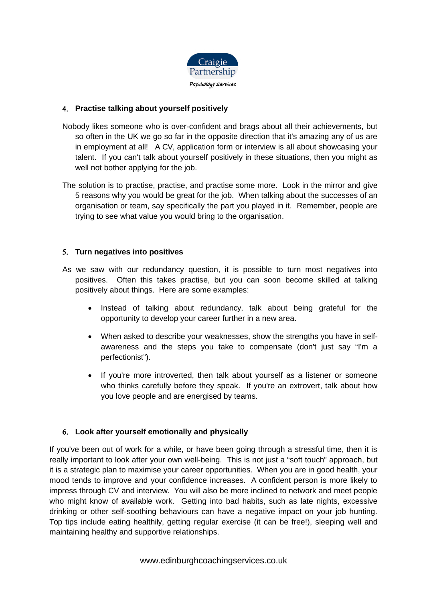

### 4. **Practise talking about yourself positively**

- Nobody likes someone who is over-confident and brags about all their achievements, but so often in the UK we go so far in the opposite direction that it's amazing any of us are in employment at all! A CV, application form or interview is all about showcasing your talent. If you can't talk about yourself positively in these situations, then you might as well not bother applying for the job.
- The solution is to practise, practise, and practise some more. Look in the mirror and give 5 reasons why you would be great for the job. When talking about the successes of an organisation or team, say specifically the part you played in it. Remember, people are trying to see what value you would bring to the organisation.

### 5. **Turn negatives into positives**

- As we saw with our redundancy question, it is possible to turn most negatives into positives. Often this takes practise, but you can soon become skilled at talking positively about things. Here are some examples:
	- Instead of talking about redundancy, talk about being grateful for the opportunity to develop your career further in a new area.
	- When asked to describe your weaknesses, show the strengths you have in selfawareness and the steps you take to compensate (don't just say "I'm a perfectionist").
	- If you're more introverted, then talk about yourself as a listener or someone who thinks carefully before they speak. If you're an extrovert, talk about how you love people and are energised by teams.

# 6. **Look after yourself emotionally and physically**

If you've been out of work for a while, or have been going through a stressful time, then it is really important to look after your own well-being. This is not just a "soft touch" approach, but it is a strategic plan to maximise your career opportunities. When you are in good health, your mood tends to improve and your confidence increases. A confident person is more likely to impress through CV and interview. You will also be more inclined to network and meet people who might know of available work. Getting into bad habits, such as late nights, excessive drinking or other self-soothing behaviours can have a negative impact on your job hunting. Top tips include eating healthily, getting regular exercise (it can be free!), sleeping well and maintaining healthy and supportive relationships.